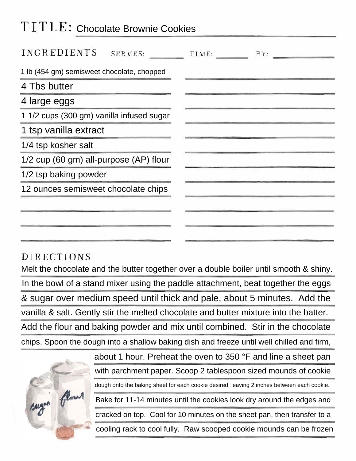## TITLE: Chocolate Brownie Cookies

| INGREDIENTS<br>SERVES:                     | TIME:<br>BY: |
|--------------------------------------------|--------------|
| 1 lb (454 gm) semisweet chocolate, chopped |              |
| 4 Tbs butter                               |              |
| 4 large eggs                               |              |
| 1 1/2 cups (300 gm) vanilla infused sugar  |              |
| 1 tsp vanilla extract                      |              |
| 1/4 tsp kosher salt                        |              |
| 1/2 cup (60 gm) all-purpose (AP) flour     |              |
| 1/2 tsp baking powder                      |              |
| 12 ounces semisweet chocolate chips        |              |
|                                            |              |
|                                            |              |
|                                            |              |

## DIRECTIONS

Melt the chocolate and the butter together over a double boiler until smooth & shiny. In the bowl of a stand mixer using the paddle attachment, beat together the eggs & sugar over medium speed until thick and pale, about 5 minutes. Add the vanilla & salt. Gently stir the melted chocolate and butter mixture into the batter. Add the flour and baking powder and mix until combined. Stir in the chocolate chips. Spoon the dough into a shallow baking dish and freeze until well chilled and firm,



about 1 hour. Preheat the oven to 350 °F and line a sheet pan with parchment paper. Scoop 2 tablespoon sized mounds of cookie dough onto the baking sheet for each cookie desired, leaving 2 inches between each cookie. Bake for 11-14 minutes until the cookies look dry around the edges and cracked on top. Cool for 10 minutes on the sheet pan, then transfer to a cooling rack to cool fully. Raw scooped cookie mounds can be frozen